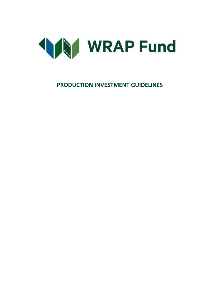

**PRODUCTION INVESTMENT GUIDELINES**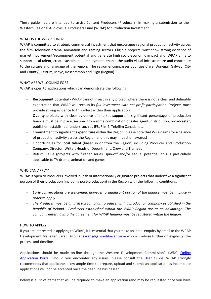These guidelines are intended to assist Content Producers (Producers) in making a submission to the Western Regional Audiovisual Producers Fund (WRAP) for Production Investment.

# WHAT IS THE WRAP FUND?

WRAP is committed to strategic commercial investment that encourages regional production activity across the film, television drama, animation and gaming sectors. Eligible projects must show strong evidence of market involvement/recoupment potential and generate high socio-economic impact and. WRAP aims to support local talent, create sustainable employment, enable the audio-visual infrastructure and contribute to the culture and language of the region. The region encompasses counties Clare, Donegal, Galway (City and County), Leitrim, Mayo, Roscommon and Sligo (Region).

#### WHAT ARE WE LOOKING FOR?

WRAP is open to applications which can demonstrate the following:

- **Recoupment** potential WRAP cannot invest in any project where there is not a clear and definable expectation that WRAP will recoup its *full investment with net profit participation*. Projects must provide strong evidence to this effect within their application
- **Quality** projects with clear evidence of market support (a significant percentage of production finance must be in place, secured from some combination of sales agent, distribution, broadcaster, publisher, established funders such as IFB, Film4, Telefilm Canada, etc.)
- Commitment to significant **expenditure** within the Region (please note that WRAP aims for a balance of production activity across the Region and this may impact on awards)
- Opportunities for **local talent** (based in or from the Region) including Producer and Production Company, Director, Writer, Heads of Department, Crew and Trainees
- Return Value (projects with further series, spin-off and/or sequel potential; this is particularly applicable to TV drama, animation and games).

# WHO CAN APPLY?

WRAP is open to Producers involved in Irish or internationally originated projects that undertake a significant portion of their production (including post-production) in the Region with the following conditions:

- *Early conversations are welcomed; however, a significant portion of the finance must be in place in order to apply.*
- *The Producer must be an Irish tax compliant producer with a production company established in the Republic of Ireland. Producers established within the WRAP Region are at an advantage. The company entering into the agreement for WRAP funding must be registered within the Region.*

#### HOW TO APPLY?

If you are interested in applying to WRAP, it is essential that you make an initial enquiry by email to the WRAP Development Manager, Sarah Dillon at [sarah@galwayfilmcentre.ie](mailto:sarah@galwayfilmcentre.ie) who will advise further on eligibility, the process and timeline.

Applications should be made on-line through the Western Development Commission's (WDC) Online [Application Portal.](https://western.smartsimple.ie/s_Login.jsp) Should you encounter any issues, please consult the [User Guide.](https://westerndevelopment.ie/wp-content/uploads/2021/06/Applicant-Smart-Simple-User-Guide-NEW.pdf) WRAP strongly recommends that applicants allow ample time to prepare, upload and submit an application as incomplete applications will not be accepted once the deadline has passed.

Below is a list of items that will be required to make an application (and may be requested once you have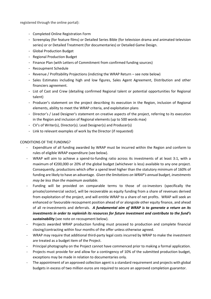registered through the online portal):

- Completed Online Registration Form
- Screenplay (for feature films) or Detailed Series Bible (for television drama and animated television series) or or Detailed Treatment (for documentaries) or Detailed Game Design.
- Global Production Budget
- Regional Production Budget
- Finance Plan (with Letters of Commitment from confirmed funding sources)
- Recoupment Schedule
- Revenue / Profitability Projections (indicting the WRAP Return see note below)
- Sales Estimates including high and low figures, Sales Agent Agreement, Distribution and other financiers agreement.
- List of Cast and Crew (detailing confirmed Regional talent or potential opportunities for Regional talent)
- Producer's statement on the project describing its execution in the Region, inclusion of Regional elements, ability to meet the WRAP criteria, and exploitation plans
- Director's / Lead Designer's statement on creative aspects of the project, referring to its execution in the Region and inclusion of Regional elements (up to 500 words max)
- CV's of Writer(s), Director(s). Lead Designer(s) and Producer(s)
- Link to relevant examples of work by the Director (if requested)

# CONDITIONS OF THE FUNDING?

- Expenditure of all funding awarded by WRAP must be incurred within the Region and conform to rules of eligible WRAP expenditure (see below).
- WRAP will aim to achieve a spend-to-funding ratio across its investments of at least 3:1, with a maximum of €200,000 or 20% of the global budget (whichever is less) available to any one project. Consequently, productions which offer a spend level higher than the statutory minimum of 160% of funding are likely to have an advantage. *Given the limitations on WRAP's annual budget, investments may be less than the maximum available.*
- Funding will be provided on comparable terms to those of co-investors (specifically the private/commercial sector), will be recoverable as equity funding from a share of revenues derived from exploitation of the project, and will entitle WRAP to a share of net profits. WRAP will seek an enhanced or favourable recoupment position ahead of or alongside other equity finance, and ahead of all re-investments and deferrals. *A fundamental aim of WRAP is to generate a return on its investments in order to replenish its resources for future investment and contribute to the fund's sustainability* (see note on recoupment below).
- Projects awarded WRAP production funding must proceed to production and complete financial closing/contracting within four months of the offer unless otherwise agreed.
- WRAP may require that additional third-party legal costs incurred by WRAP to make the investment are treated as a budget item of the Project.
- Principal photography on the Project cannot have commenced prior to making a formal application.
- Projects must provide for and allow for a contingency of 10% of the submitted production budget, exceptions may be made in relation to documentaries only.
- The appointment of an approved collection agent is a standard requirement and projects with global budgets in excess of two million euros are required to secure an approved completion guarantor.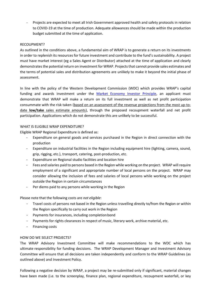- Projects are expected to meet all Irish Government approved health and safety protocols in relation to COVID-19 at the time of production. Adequate allowances should be made within the production budget submitted at the time of application.

# RECOUPMENT?

As outlined in the conditions above, a fundamental aim of WRAP is to generate a return on its investments in order to replenish its resources for future investment and contribute to the fund's sustainability. A project must have market interest (eg a Sales Agent or Distributor) attached at the time of application and clearly demonstrates the potential return on investment for WRAP. Projects that cannot provide sales estimates and the terms of potential sales and distribution agreements are unlikely to make it beyond the initial phase of assessment.

In line with the policy of the Western Development Commission (WDC) which provides WRAP's capital funding and awards investment under the [Market Economy Investor Principle,](https://www.wdc.ie/wdc-investment-fund/business-investment-fund/) an applicant must demonstrate that WRAP will make a return on its full investment as well as net profit participation consummate with the risk taken (based on an assessment of the revenue projections from the most up-todate **low/take** sales estimate amounts), through the proposed recoupment waterfall and net profit participation. Applications which do not demonstrate this are unlikely to be successful.

#### WHAT IS ELIGIBLE WRAP EXPENDITURE?

Eligible WRAP Regional Expenditure is defined as:

- Expenditure on general goods and services purchased in the Region in direct connection with the production
- Expenditure on industrial facilities in the Region including equipment hire (lighting, camera, sound, grip, rigging, etc.), transport, catering, post-production, etc.
- Expenditure on Regional studio facilities and location hire
- Fees and salaries paid to persons based in the Region while working on the project. WRAP will require employment of a significant and appropriate number of local persons on the project. WRAP may consider allowing the inclusion of fees and salaries of local persons while working on the project outside the Region in certain circumstances
- Per diems paid to any persons while working in the Region

Please note that the following costs are *not eligible*:

- Travel costs of persons not based in the Region unless travelling directly to/from the Region or within the Region specifically to carry out work in the Region
- Payments for insurances, including completion bond
- Payments for rights clearances in respect of music, literary work, archive material, etc.
- Financing costs

# HOW DO WE SELECT PROJECTS?

The WRAP Advisory Investment Committee will make recommendations to the WDC which has ultimate responsibility for funding decisions. The WRAP Development Manager and Investment Advisory Committee will ensure that all decisions are taken independently and conform to the WRAP Guidelines (as outlined above) and Investment Policy.

Following a negative decision by WRAP, a project may be re-submitted only if significant, material changes have been made (i.e. to the screenplay, finance plan, regional expenditure, recoupment waterfall, or key